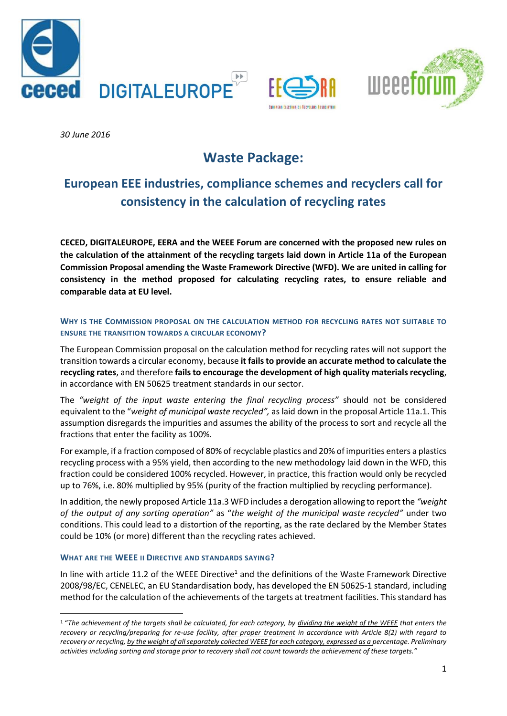





*30 June 2016* 

# **Waste Package:**

## **European EEE industries, compliance schemes and recyclers call for consistency in the calculation of recycling rates**

**CECED, DIGITALEUROPE, EERA and the WEEE Forum are concerned with the proposed new rules on the calculation of the attainment of the recycling targets laid down in Article 11a of the European Commission Proposal amending the Waste Framework Directive (WFD). We are united in calling for consistency in the method proposed for calculating recycling rates, to ensure reliable and comparable data at EU level.** 

### **WHY IS THE COMMISSION PROPOSAL ON THE CALCULATION METHOD FOR RECYCLING RATES NOT SUITABLE TO ENSURE THE TRANSITION TOWARDS A CIRCULAR ECONOMY?**

The European Commission proposal on the calculation method for recycling rates will not support the transition towards a circular economy, because **it fails to provide an accurate method to calculate the recycling rates**, and therefore **fails to encourage the development of high quality materials recycling**, in accordance with EN 50625 treatment standards in our sector.

The *"weight of the input waste entering the final recycling process"* should not be considered equivalent to the "*weight of municipal waste recycled",* as laid down in the proposal Article 11a.1. This assumption disregards the impurities and assumes the ability of the process to sort and recycle all the fractions that enter the facility as 100%.

For example, if a fraction composed of 80% of recyclable plastics and 20% of impurities enters a plastics recycling process with a 95% yield, then according to the new methodology laid down in the WFD, this fraction could be considered 100% recycled. However, in practice, this fraction would only be recycled up to 76%, i.e. 80% multiplied by 95% (purity of the fraction multiplied by recycling performance).

In addition, the newly proposed Article 11a.3 WFD includes a derogation allowing to report the *"weight of the output of any sorting operation"* as "*the weight of the municipal waste recycled"* under two conditions. This could lead to a distortion of the reporting, as the rate declared by the Member States could be 10% (or more) different than the recycling rates achieved.

#### **WHAT ARE THE WEEE II DIRECTIVE AND STANDARDS SAYING?**

In line with article 11.2 of the WEEE Directive<sup>1</sup> and the definitions of the Waste Framework Directive 2008/98/EC, CENELEC, an EU Standardisation body, has developed the EN 50625-1 standard, including method for the calculation of the achievements of the targets at treatment facilities. This standard has

**<sup>.</sup>** <sup>1</sup> "*The achievement of the targets shall be calculated, for each category, by dividing the weight of the WEEE that enters the recovery or recycling/preparing for re-use facility, after proper treatment in accordance with Article 8(2) with regard to recovery or recycling, by the weight of all separately collected WEEE for each category, expressed as a percentage. Preliminary activities including sorting and storage prior to recovery shall not count towards the achievement of these targets."*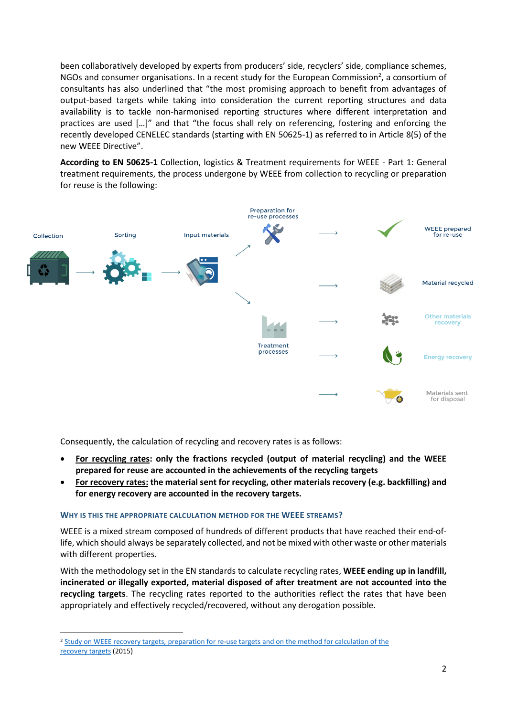been collaboratively developed by experts from producers' side, recyclers' side, compliance schemes, NGOs and consumer organisations. In a recent study for the European Commission<sup>2</sup>, a consortium of consultants has also underlined that "the most promising approach to benefit from advantages of output-based targets while taking into consideration the current reporting structures and data availability is to tackle non-harmonised reporting structures where different interpretation and practices are used […]" and that "the focus shall rely on referencing, fostering and enforcing the recently developed CENELEC standards (starting with EN 50625-1) as referred to in Article 8(5) of the new WEEE Directive".

**According to EN 50625-1** Collection, logistics & Treatment requirements for WEEE - Part 1: General treatment requirements, the process undergone by WEEE from collection to recycling or preparation for reuse is the following:



Consequently, the calculation of recycling and recovery rates is as follows:

- **For recycling rates: only the fractions recycled (output of material recycling) and the WEEE prepared for reuse are accounted in the achievements of the recycling targets**
- **For recovery rates: the material sent for recycling, other materials recovery (e.g. backfilling) and for energy recovery are accounted in the recovery targets.**

#### **WHY IS THIS THE APPROPRIATE CALCULATION METHOD FOR THE WEEE STREAMS?**

**.** 

WEEE is a mixed stream composed of hundreds of different products that have reached their end-oflife, which should always be separately collected, and not be mixed with other waste or other materials with different properties.

With the methodology set in the EN standards to calculate recycling rates, **WEEE ending up in landfill, incinerated or illegally exported, material disposed of after treatment are not accounted into the recycling targets**. The recycling rates reported to the authorities reflect the rates that have been appropriately and effectively recycled/recovered, without any derogation possible.

<sup>2</sup> Study on WEEE recovery targets, preparation for re-use targets and [on the method for calculation of the](http://ec.europa.eu/environment/waste/weee/pdf/16.%20Final%20report_approved.pdf) [recovery targets](http://ec.europa.eu/environment/waste/weee/pdf/16.%20Final%20report_approved.pdf) (2015)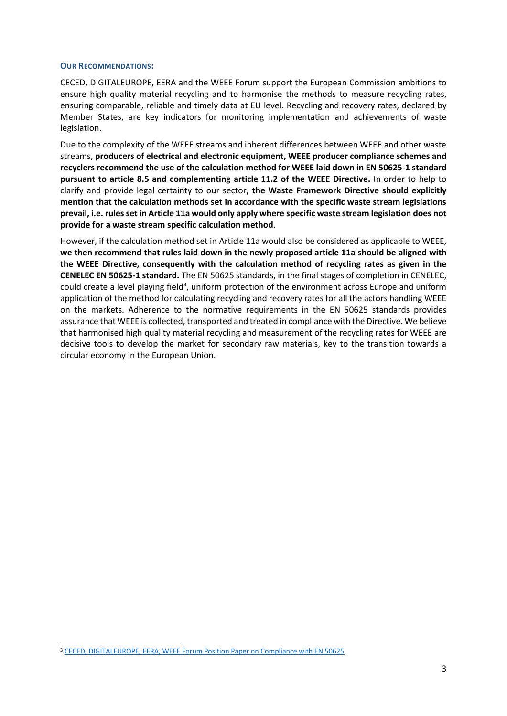#### **OUR RECOMMENDATIONS:**

CECED, DIGITALEUROPE, EERA and the WEEE Forum support the European Commission ambitions to ensure high quality material recycling and to harmonise the methods to measure recycling rates, ensuring comparable, reliable and timely data at EU level. Recycling and recovery rates, declared by Member States, are key indicators for monitoring implementation and achievements of waste legislation.

Due to the complexity of the WEEE streams and inherent differences between WEEE and other waste streams, **producers of electrical and electronic equipment, WEEE producer compliance schemes and recyclers recommend the use of the calculation method for WEEE laid down in EN 50625-1 standard pursuant to article 8.5 and complementing article 11.2 of the WEEE Directive.** In order to help to clarify and provide legal certainty to our sector**, the Waste Framework Directive should explicitly mention that the calculation methods set in accordance with the specific waste stream legislations prevail, i.e. rules set in Article 11a would only apply where specific waste stream legislation does not provide for a waste stream specific calculation method**.

However, if the calculation method set in Article 11a would also be considered as applicable to WEEE, **we then recommend that rules laid down in the newly proposed article 11a should be aligned with the WEEE Directive, consequently with the calculation method of recycling rates as given in the CENELEC EN 50625-1 standard.** The EN 50625 standards, in the final stages of completion in CENELEC, could create a level playing field<sup>3</sup>, uniform protection of the environment across Europe and uniform application of the method for calculating recycling and recovery rates for all the actors handling WEEE on the markets. Adherence to the normative requirements in the EN 50625 standards provides assurance that WEEE is collected, transported and treated in compliance with the Directive. We believe that harmonised high quality material recycling and measurement of the recycling rates for WEEE are decisive tools to develop the market for secondary raw materials, key to the transition towards a circular economy in the European Union.

**<sup>.</sup>** <sup>3</sup> CECED, DIGITALEUROPE, EERA, WEEE Forum Position Paper on Compliance with EN 50625